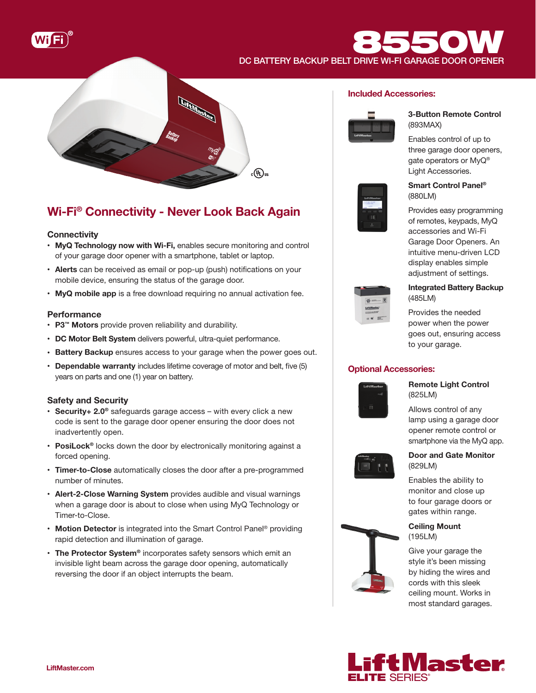

DC BATTERY BACKUP BELT DRIVE WI-FI GARAGE DOOR OPENER



# Wi-Fi® Connectivity - Never Look Back Again

# **Connectivity**

- MyQ Technology now with Wi-Fi, enables secure monitoring and control of your garage door opener with a smartphone, tablet or laptop.
- Alerts can be received as email or pop-up (push) notifications on your mobile device, ensuring the status of the garage door.
- MyQ mobile app is a free download requiring no annual activation fee.

# **Performance**

- P3™ Motors provide proven reliability and durability.
- DC Motor Belt System delivers powerful, ultra-quiet performance.
- Battery Backup ensures access to your garage when the power goes out.
- Dependable warranty includes lifetime coverage of motor and belt, five (5) years on parts and one (1) year on battery.

# Safety and Security

- Security+ 2.0<sup>®</sup> safeguards garage access with every click a new code is sent to the garage door opener ensuring the door does not inadvertently open.
- PosiLock<sup>®</sup> locks down the door by electronically monitoring against a forced opening.
- Timer-to-Close automatically closes the door after a pre-programmed number of minutes.
- Alert-2-Close Warning System provides audible and visual warnings when a garage door is about to close when using MyQ Technology or Timer-to-Close.
- Motion Detector is integrated into the Smart Control Panel<sup>®</sup> providing rapid detection and illumination of garage.
- The Protector System® incorporates safety sensors which emit an invisible light beam across the garage door opening, automatically reversing the door if an object interrupts the beam.

# Included Accessories:

**8550** 



# 3-Button Remote Control (893MAX)

Enables control of up to three garage door openers, gate operators or MyQ® Light Accessories.



# Smart Control Panel® (880LM)

Provides easy programming of remotes, keypads, MyQ accessories and Wi-Fi Garage Door Openers. An intuitive menu-driven LCD display enables simple adjustment of settings.



# Integrated Battery Backup (485LM)

Provides the needed power when the power goes out, ensuring access to your garage.

# Optional Accessories:



Remote Light Control (825LM)

Allows control of any lamp using a garage door opener remote control or smartphone via the MyQ app.



# Door and Gate Monitor (829LM)

Enables the ability to monitor and close up to four garage doors or gates within range.



Give your garage the style it's been missing by hiding the wires and cords with this sleek ceiling mount. Works in most standard garages.